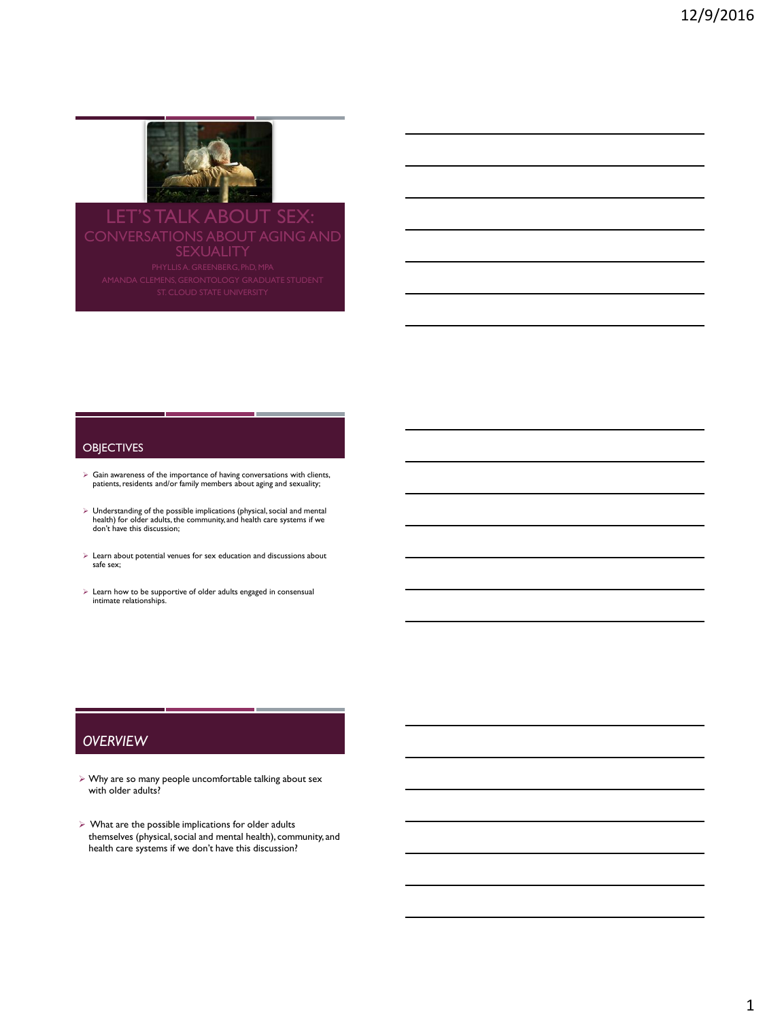

# LET'S TALK ABOUT SEX CONVERSATIONS ABOUT AGING AND

#### **OBJECTIVES**

- $\triangleright$  Gain awareness of the importance of having conversations with clients, residents and/or family members about aging and sexuality;
- $\triangleright$  Understanding of the possible implications (physical, social and mental health) for older adults, the community, and health care systems if we don't have this discussion;
- $\blacktriangleright$  Learn about potential venues for sex education and discussions about safe sex;
- $\triangleright$  Learn how to be supportive of older adults engaged in consensual intimate relationships.

# *OVERVIEW*

 Why are so many people uncomfortable talking about sex with older adults?

m.

 $\triangleright$  What are the possible implications for older adults themselves (physical, social and mental health), community, and health care systems if we don't have this discussion?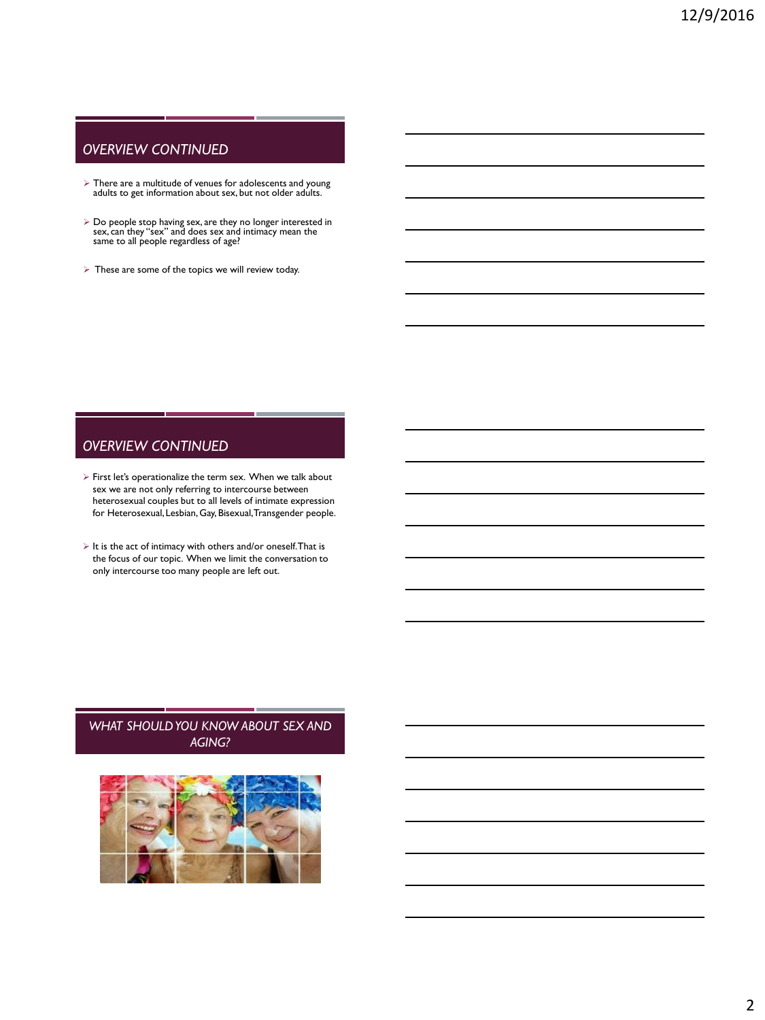# *OVERVIEW CONTINUED*

- There are a multitude of venues for adolescents and young adults to get information about sex, but not older adults.
- Do people stop having sex, are they no longer interested in sex, can they "sex" and does sex and intimacy mean the same to all people regardless of age?
- $\triangleright$  These are some of the topics we will review today.

# *OVERVIEW CONTINUED*

- First let's operationalize the term sex. When we talk about sex we are not only referring to intercourse between heterosexual couples but to all levels of intimate expression for Heterosexual, Lesbian, Gay, Bisexual, Transgender people.
- $\triangleright$  It is the act of intimacy with others and/or oneself. That is the focus of our topic. When we limit the conversation to only intercourse too many people are left out.

# *WHAT SHOULD YOU KNOW ABOUT SEX AND AGING?*

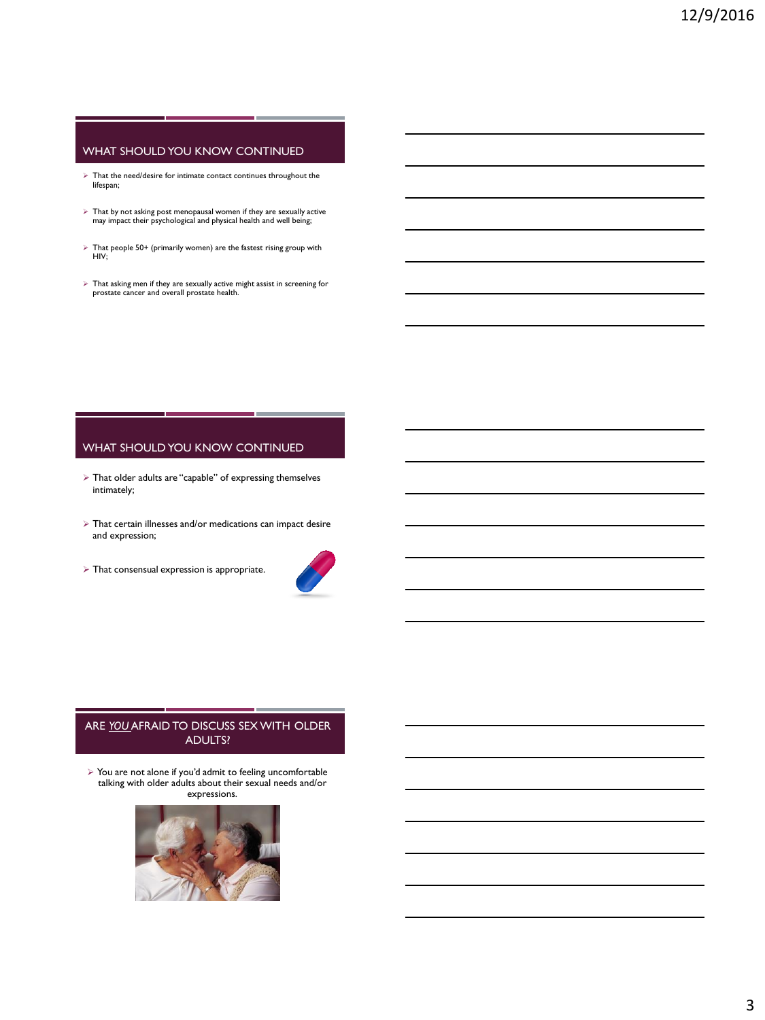# WHAT SHOULD YOU KNOW CONTINUED

- $\blacktriangleright$  That the need/desire for intimate contact continues throughout the lifespan;
- $\triangleright$  That by not asking post menopausal women if they are sexually active may impact their psychological and physical health and well being;
- $\triangleright$  That people 50+ (primarily women) are the fastest rising group with HIV;
- $\triangleright$  That asking men if they are sexually active might assist in screening for prostate cancer and overall prostate health.

#### WHAT SHOULD YOU KNOW CONTINUED

- That older adults are "capable" of expressing themselves intimately;
- $\triangleright$  That certain illnesses and/or medications can impact desire and expression;
- $\triangleright$  That consensual expression is appropriate.



## ARE *YOU* AFRAID TO DISCUSS SEX WITH OLDER ADULTS?

 You are not alone if you'd admit to feeling uncomfortable talking with older adults about their sexual needs and/or expressions.

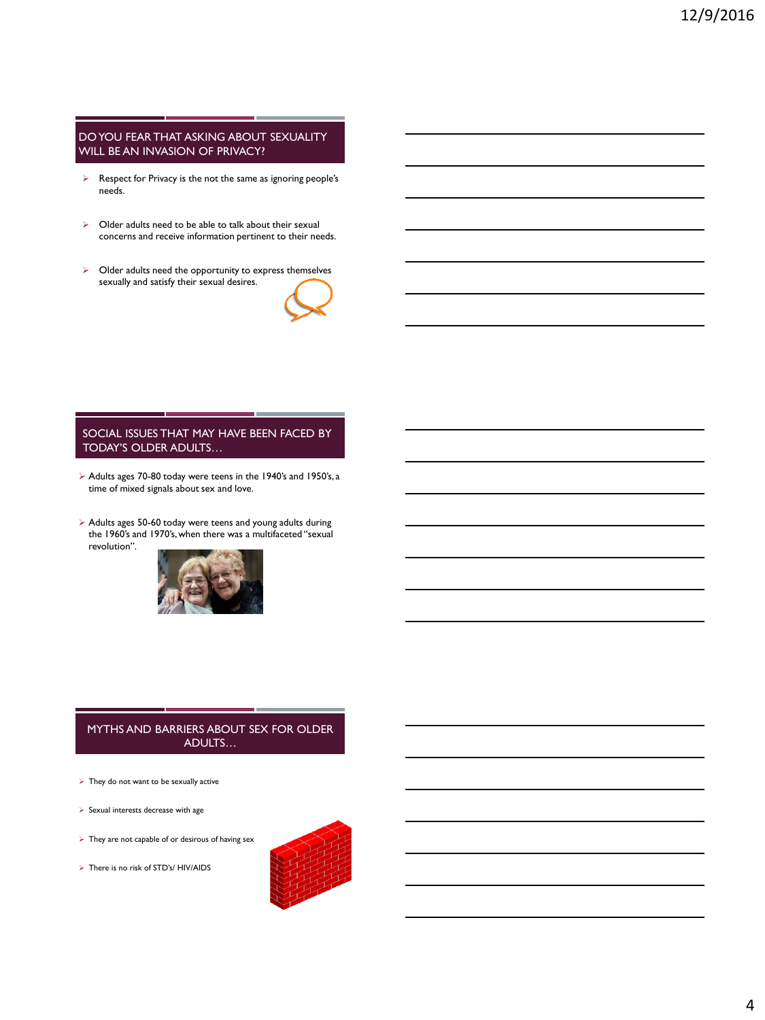#### DO YOU FEAR THAT ASKING ABOUT SEXUALITY WILL BE AN INVASION OF PRIVACY?

- Respect for Privacy is the not the same as ignoring people's needs.
- $\triangleright$  Older adults need to be able to talk about their sexual concerns and receive information pertinent to their needs.
- > Older adults need the opportunity to express themselves sexually and satisfy their sexual desires.



#### SOCIAL ISSUES THAT MAY HAVE BEEN FACED BY TODAY'S OLDER ADULTS…

- Adults ages 70-80 today were teens in the 1940's and 1950's, a time of mixed signals about sex and love.
- Adults ages 50-60 today were teens and young adults during the 1960's and 1970's, when there was a multifaceted "sexual revolution".



## MYTHS AND BARRIERS ABOUT SEX FOR OLDER ADULTS…

- $\triangleright$  They do not want to be sexually active
- $\triangleright$  Sexual interests decrease with age
- $\triangleright$  They are not capable of or desirous of having sex
- > There is no risk of STD's/ HIV/AIDS

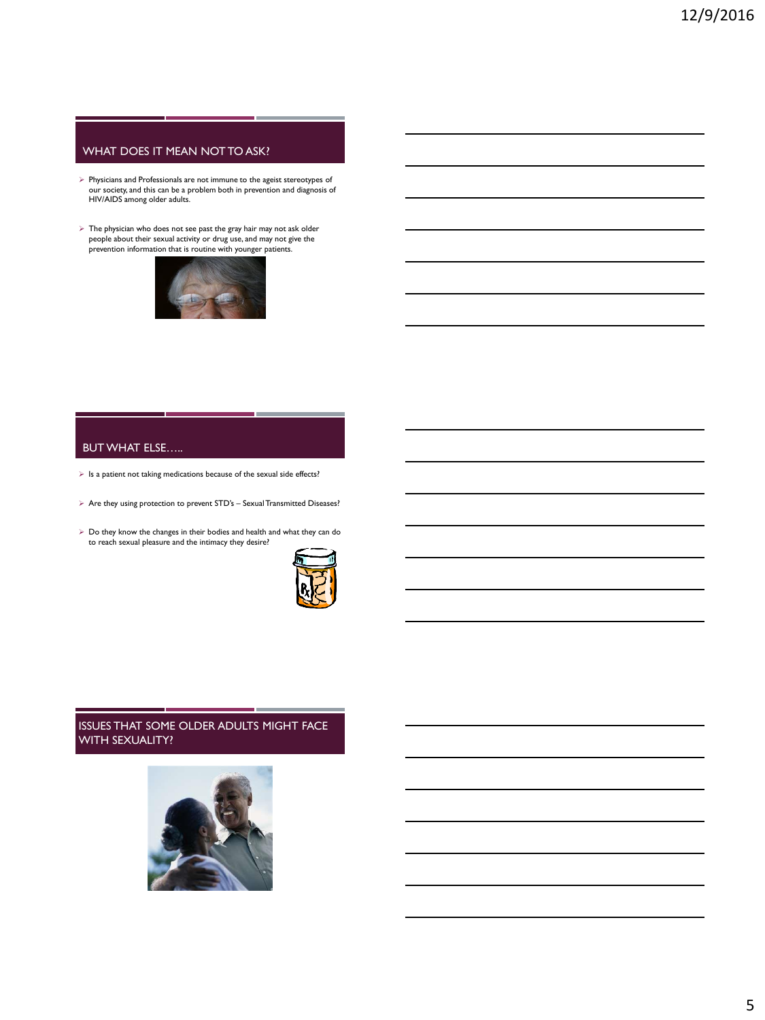# WHAT DOES IT MEAN NOT TO ASK?

- Physicians and Professionals are not immune to the ageist stereotypes of our society, and this can be a problem both in prevention and diagnosis of HIV/AIDS among older adults.
- $\triangleright$  The physician who does not see past the gray hair may not ask older people about their sexual activity or drug use, and may not give the prevention information that is routine with younger patients.



# BUT WHAT ELSE…..

- $\triangleright$  Is a patient not taking medications because of the sexual side effects?
- $\triangleright$  Are they using protection to prevent STD's Sexual Transmitted Diseases?
- Do they know the changes in their bodies and health and what they can do to reach sexual pleasure and the intimacy they desire?



# ISSUES THAT SOME OLDER ADULTS MIGHT FACE WITH SEXUALITY?

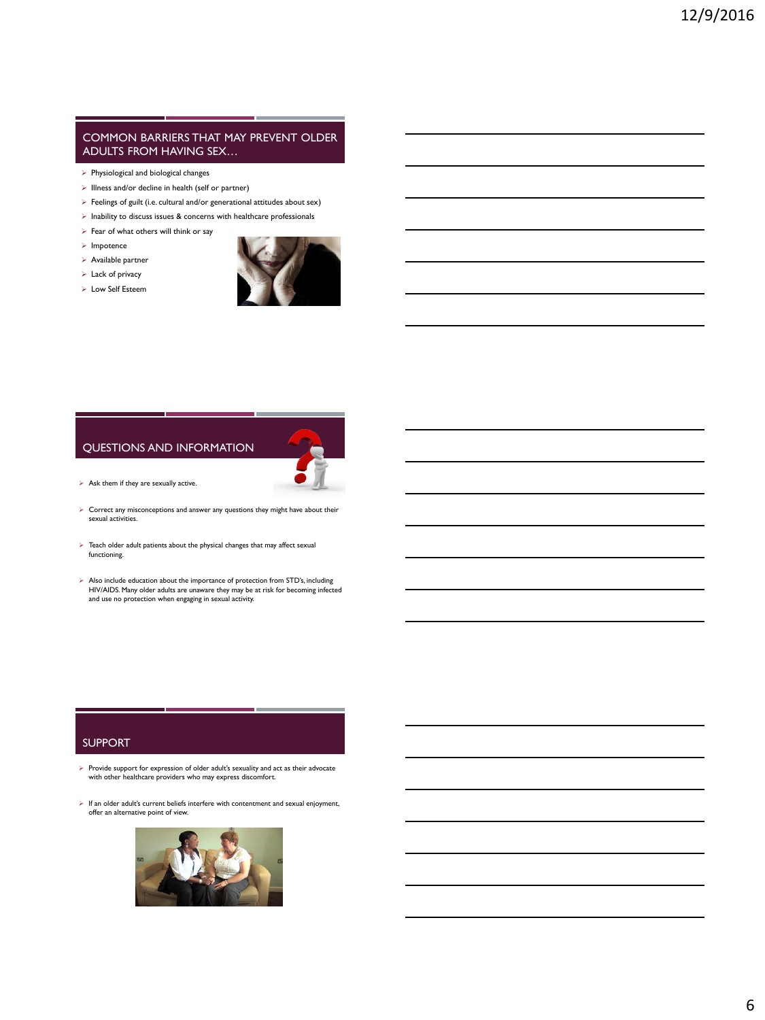#### COMMON BARRIERS THAT MAY PREVENT OLDER ADULTS FROM HAVING SEX…

- $\triangleright$  Physiological and biological changes
- $\triangleright$  Illness and/or decline in health (self or partner)
- $\triangleright$  Feelings of guilt (i.e. cultural and/or generational attitudes about sex)
- $\triangleright$  Inability to discuss issues & concerns with healthcare professionals
- $\triangleright$  Fear of what others will think or say
- $\triangleright$  Impotence
- Available partner
- $\triangleright$  Lack of privacy
- Low Self Esteem



#### QUESTIONS AND INFORMATION



- $\triangleright$  Ask them if they are sexually active.
- Correct any misconceptions and answer any questions they might have about their sexual activities.
- $\blacktriangleright$  Teach older adult patients about the physical changes that may affect sexual functioning.
- $\triangleright$  Also include education about the importance of protection from STD's, including HIV/AIDS. Many older adults are unaware they may be at risk for becoming infected and use no protection when engaging in sexual activity.

#### SUPPORT

- $\blacktriangleright$  Provide support for expression of older adult's sexuality and act as their advocate with other healthcare providers who may express discomfort.
- $\blacktriangleright$  If an older adult's current beliefs interfere with contentment and sexual enjoyment, offer an alternative point of view.

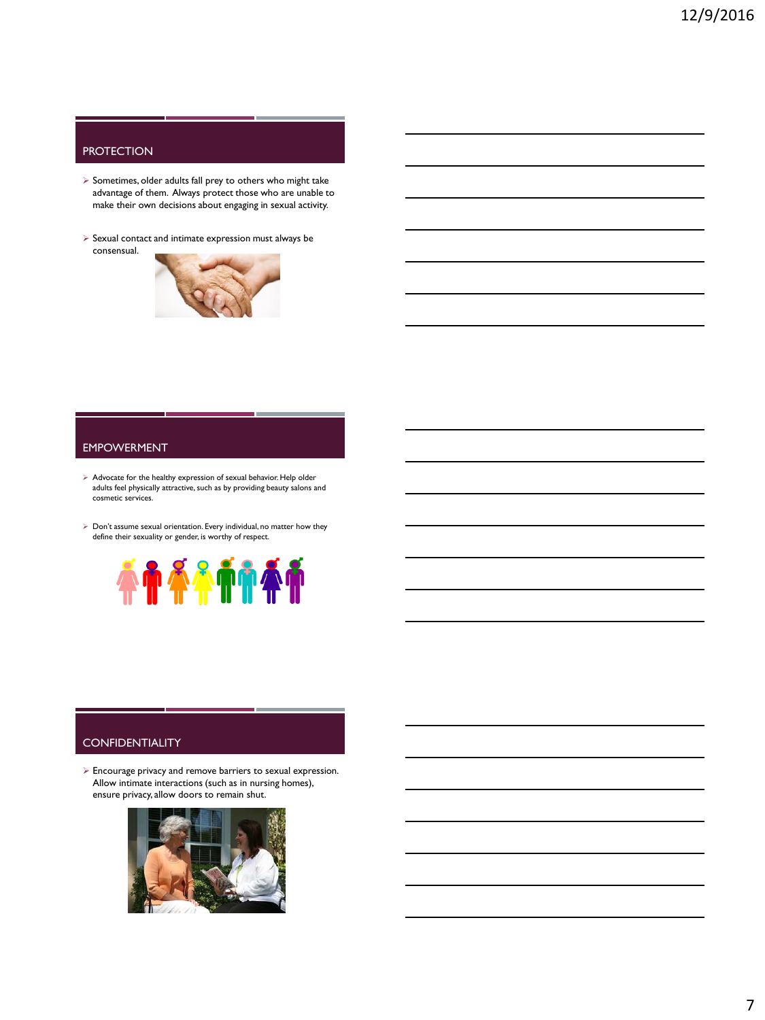# **PROTECTION**

- $\triangleright$  Sometimes, older adults fall prey to others who might take advantage of them. Always protect those who are unable to make their own decisions about engaging in sexual activity.
- $\triangleright$  Sexual contact and intimate expression must always be consensual.



#### EMPOWERMENT

- $\triangleright$  Advocate for the healthy expression of sexual behavior. Help older adults feel physically attractive, such as by providing beauty salons and cosmetic services.
- $\triangleright$  Don't assume sexual orientation. Every individual, no matter how they define their sexuality or gender, is worthy of respect.



### **CONFIDENTIALITY**

 Encourage privacy and remove barriers to sexual expression. Allow intimate interactions (such as in nursing homes), ensure privacy, allow doors to remain shut.

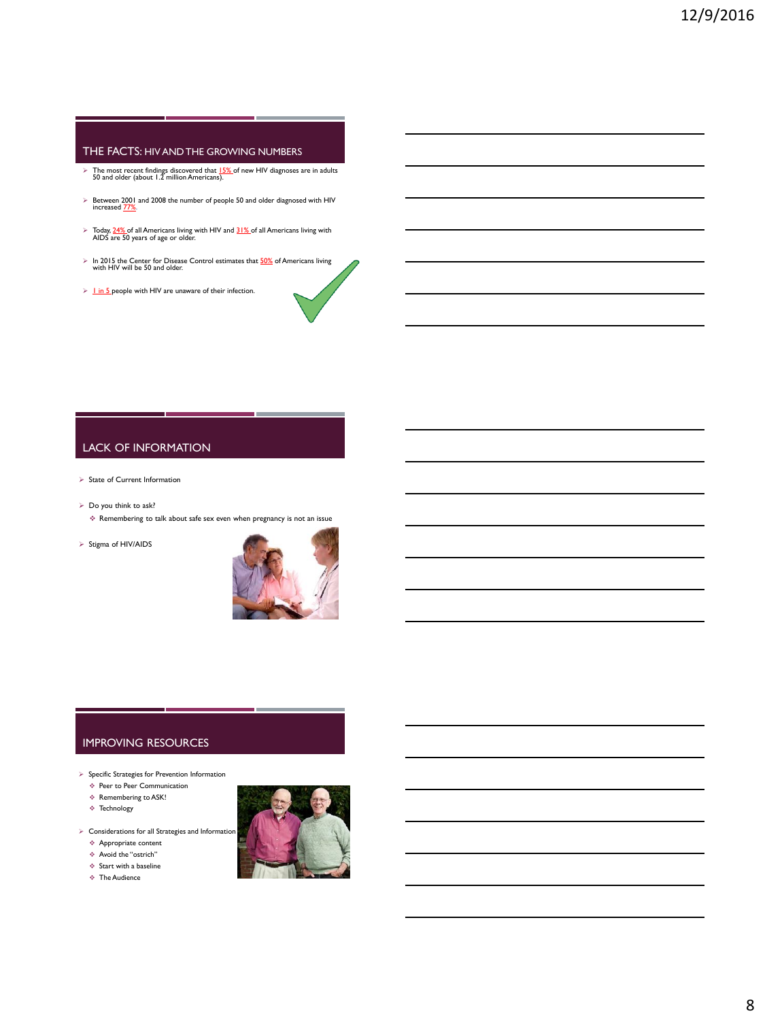### THE FACTS: HIV AND THE GROWING NUMBERS

- $\triangleright$  The most recent findings discovered that  $15\%$  of new HIV diagnoses are in adults 50 and older (about 1.2 million Americans).
- $\triangleright$  Between 2001 and 2008 the number of people 50 and older diagnosed with HIV increased  $\frac{77\%}{2}$ .
- Today, 24% of all Americans living with HIV and 31% of all Americans living with AIDS are 50 years of age or older.
- $\triangleright$  In 2015 the Center for Disease Control estimates that  $50\%$  of Americans living with HIV will be 50 and older.
- $\geq$  1 in 5 people with HIV are unaware of their infection.

# LACK OF INFORMATION

- $\triangleright$  State of Current Information
- $\triangleright$  Do you think to ask?
	- $\triangleq$  Remembering to talk about safe sex even when pregnancy is not an issue
- $\triangleright$  Stigma of HIV/AIDS



#### IMPROVING RESOURCES

- $\blacktriangleright$  Specific Strategies for Prevention Information
	- Peer to Peer Communication
	- $\Leftrightarrow$  Remembering to ASK!
	- Technology
- $\triangleright$  Considerations for all Strategies and Information
	- Appropriate content Avoid the "ostrich"
	- $\div$  Start with a baseline
	- The Audience

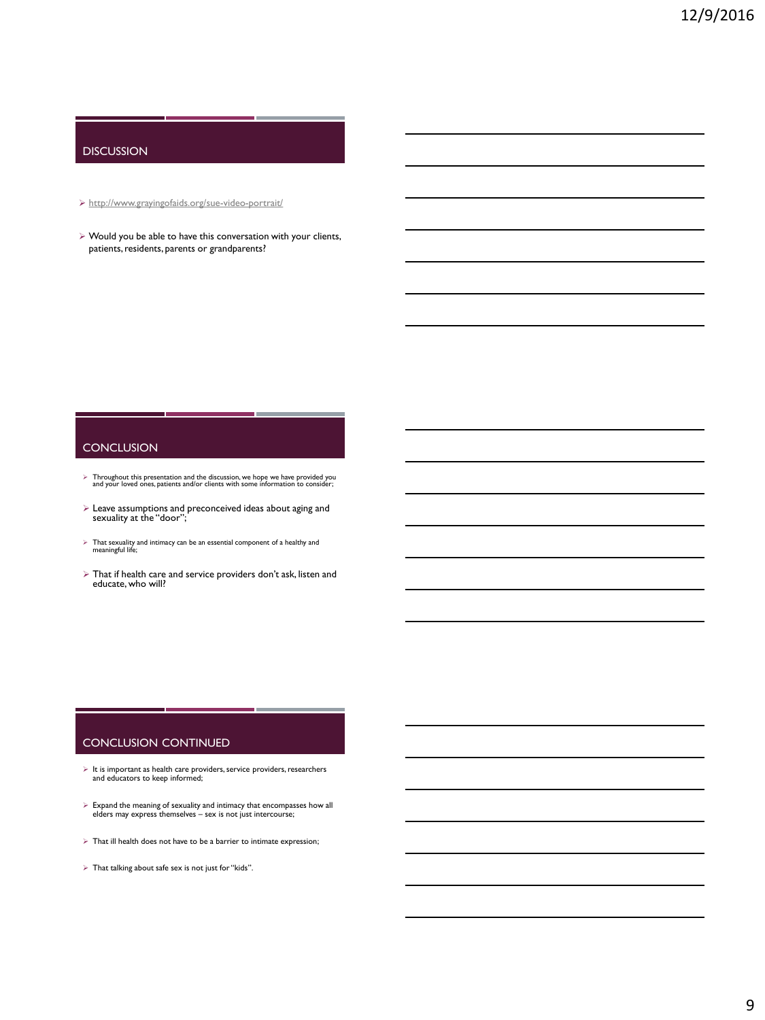# DISCUSSION

<http://www.grayingofaids.org/sue-video-portrait/>

 $\triangleright$  Would you be able to have this conversation with your clients, patients, residents, parents or grandparents?

#### **CONCLUSION**

- $\triangleright$  Throughout this presentation and the discussion, we hope we have provided you and your loved ones, patients and/or clients with some information to consider;
- $\triangleright$  Leave assumptions and preconceived ideas about aging and sexuality at the "door";
- $\triangleright$  That sexuality and intimacy can be an essential component of a healthy and meaningful life;
- $\triangleright$  That if health care and service providers don't ask, listen and educate, who will?

#### CONCLUSION CONTINUED

m.

- $\triangleright$  It is important as health care providers, service providers, researchers and educators to keep informed;
- Expand the meaning of sexuality and intimacy that encompasses how all elders may express themselves sex is not just intercourse;
- $\triangleright$  That ill health does not have to be a barrier to intimate expression;
- $\blacktriangleright\,$  That talking about safe sex is not just for "kids".